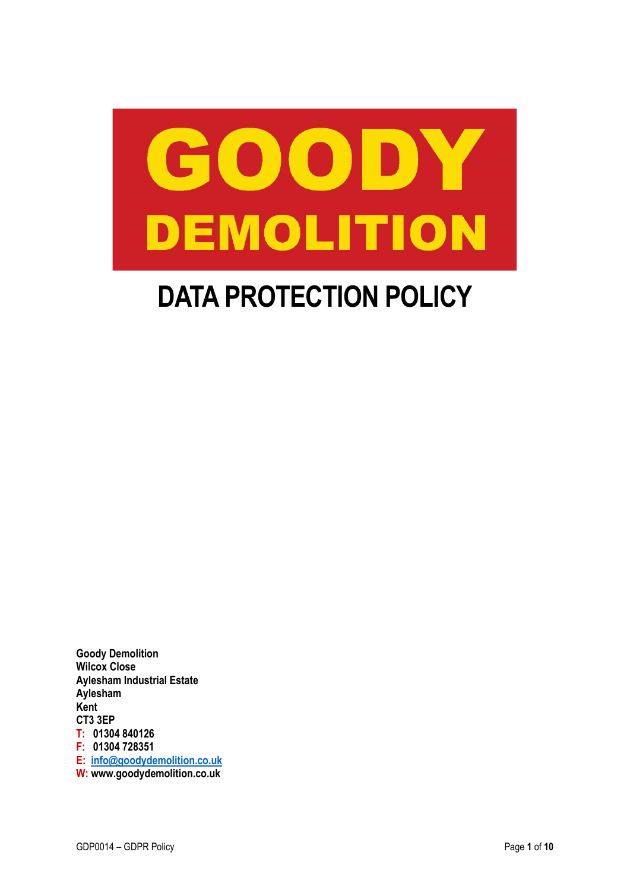<span id="page-0-0"></span>

# **DATA PROTECTION POLICY**

**Goody Demolition Wilcox Close Aylesham Industrial Estate Aylesham Kent CT3 3EP T: 01304 840126 F: 01304 728351 E: [info@goodydemolition.co.uk](mailto:info@goodydemolition.co.uk) W: www.goodydemolition.co.uk**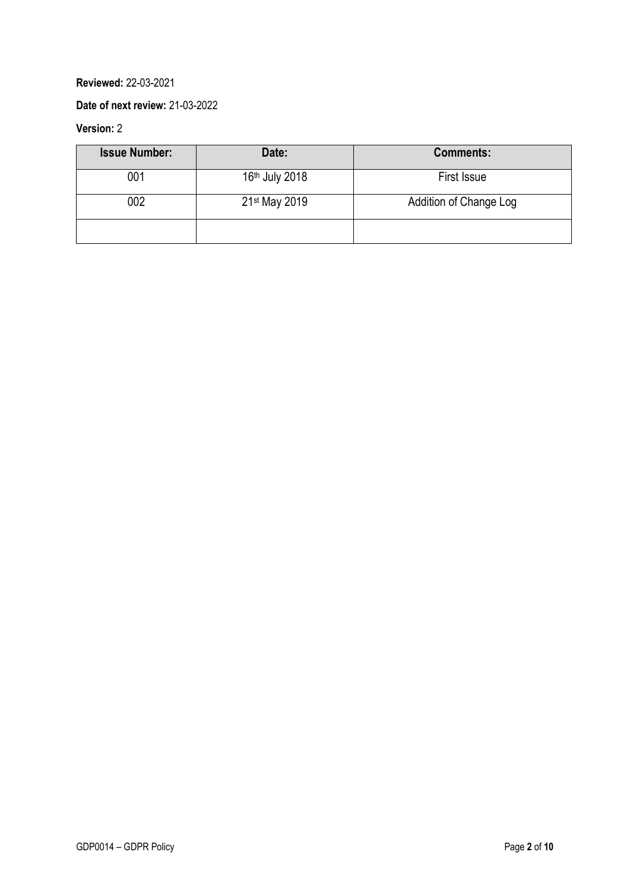## **Reviewed:** 22-03-2021

#### **Date of next review:** 21-03-2022

# **Version:** 2

| <b>Issue Number:</b> | Date:          | <b>Comments:</b>       |
|----------------------|----------------|------------------------|
| 001                  | 16th July 2018 | First Issue            |
| 002                  | 21st May 2019  | Addition of Change Log |
|                      |                |                        |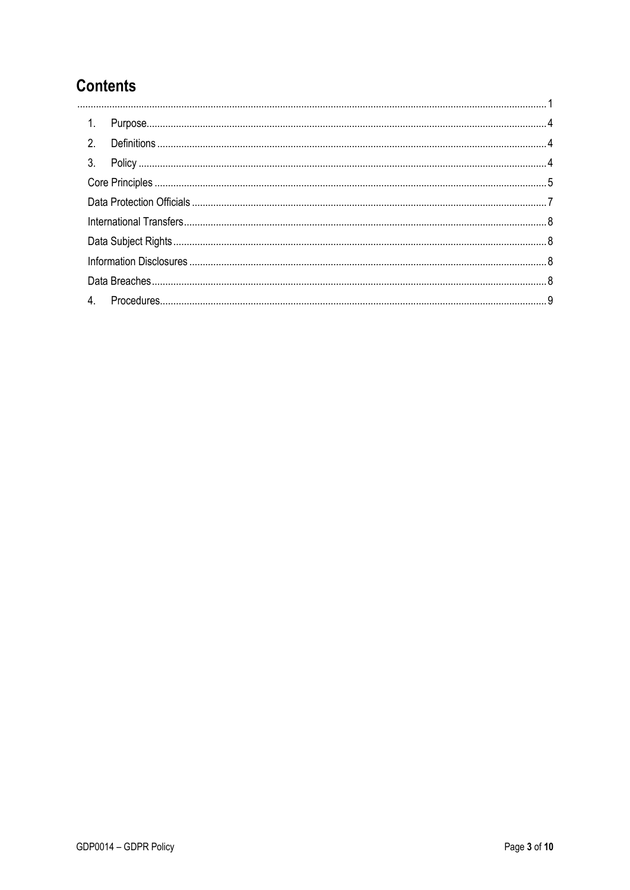# **Contents**

<span id="page-2-0"></span>

| 1. |  |
|----|--|
| 2. |  |
|    |  |
|    |  |
|    |  |
|    |  |
|    |  |
|    |  |
|    |  |
| 4. |  |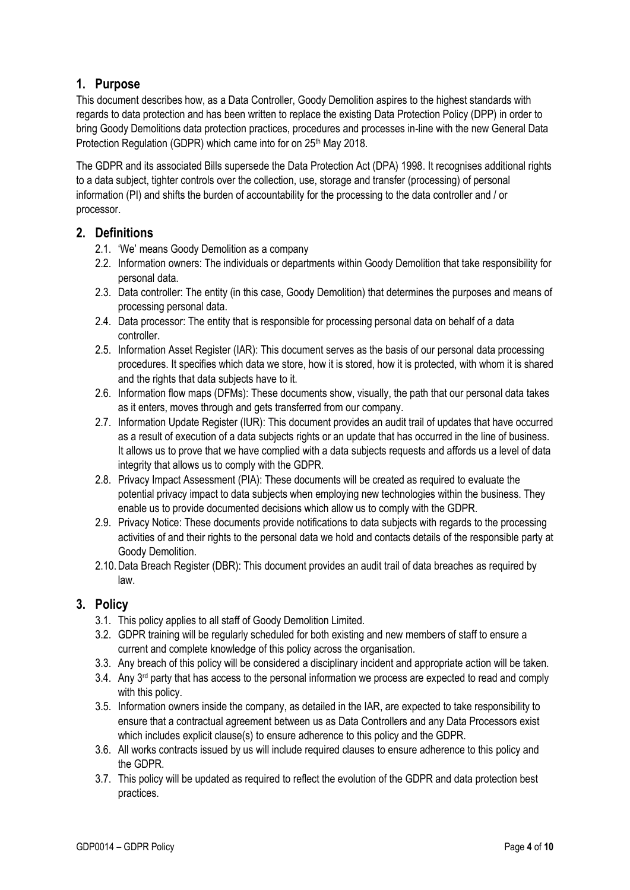# **1. Purpose**

This document describes how, as a Data Controller, Goody Demolition aspires to the highest standards with regards to data protection and has been written to replace the existing Data Protection Policy (DPP) in order to bring Goody Demolitions data protection practices, procedures and processes in-line with the new General Data Protection Regulation (GDPR) which came into for on 25<sup>th</sup> May 2018.

The GDPR and its associated Bills supersede the Data Protection Act (DPA) 1998. It recognises additional rights to a data subject, tighter controls over the collection, use, storage and transfer (processing) of personal information (PI) and shifts the burden of accountability for the processing to the data controller and / or processor.

## <span id="page-3-0"></span>**2. Definitions**

- 2.1. 'We' means Goody Demolition as a company
- 2.2. Information owners: The individuals or departments within Goody Demolition that take responsibility for personal data.
- 2.3. Data controller: The entity (in this case, Goody Demolition) that determines the purposes and means of processing personal data.
- 2.4. Data processor: The entity that is responsible for processing personal data on behalf of a data controller.
- 2.5. Information Asset Register (IAR): This document serves as the basis of our personal data processing procedures. It specifies which data we store, how it is stored, how it is protected, with whom it is shared and the rights that data subjects have to it.
- 2.6. Information flow maps (DFMs): These documents show, visually, the path that our personal data takes as it enters, moves through and gets transferred from our company.
- 2.7. Information Update Register (IUR): This document provides an audit trail of updates that have occurred as a result of execution of a data subjects rights or an update that has occurred in the line of business. It allows us to prove that we have complied with a data subjects requests and affords us a level of data integrity that allows us to comply with the GDPR.
- 2.8. Privacy Impact Assessment (PIA): These documents will be created as required to evaluate the potential privacy impact to data subjects when employing new technologies within the business. They enable us to provide documented decisions which allow us to comply with the GDPR.
- 2.9. Privacy Notice: These documents provide notifications to data subjects with regards to the processing activities of and their rights to the personal data we hold and contacts details of the responsible party at Goody Demolition.
- 2.10.Data Breach Register (DBR): This document provides an audit trail of data breaches as required by law.

## <span id="page-3-1"></span>**3. Policy**

- 3.1. This policy applies to all staff of Goody Demolition Limited.
- 3.2. GDPR training will be regularly scheduled for both existing and new members of staff to ensure a current and complete knowledge of this policy across the organisation.
- 3.3. Any breach of this policy will be considered a disciplinary incident and appropriate action will be taken.
- $3.4$ . Any  $3<sup>rd</sup>$  party that has access to the personal information we process are expected to read and comply with this policy.
- 3.5. Information owners inside the company, as detailed in the IAR, are expected to take responsibility to ensure that a contractual agreement between us as Data Controllers and any Data Processors exist which includes explicit clause(s) to ensure adherence to this policy and the GDPR.
- 3.6. All works contracts issued by us will include required clauses to ensure adherence to this policy and the GDPR.
- 3.7. This policy will be updated as required to reflect the evolution of the GDPR and data protection best practices.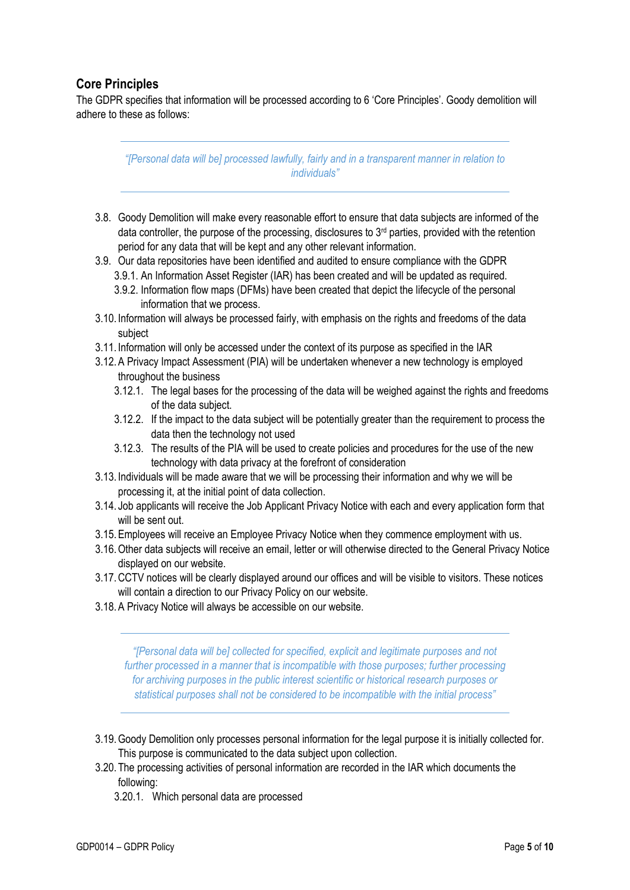# <span id="page-4-0"></span>**Core Principles**

The GDPR specifies that information will be processed according to 6 'Core Principles'. Goody demolition will adhere to these as follows:

> *"[Personal data will be] processed lawfully, fairly and in a transparent manner in relation to individuals"*

- 3.8. Goody Demolition will make every reasonable effort to ensure that data subjects are informed of the data controller, the purpose of the processing, disclosures to 3rd parties, provided with the retention period for any data that will be kept and any other relevant information.
- 3.9. Our data repositories have been identified and audited to ensure compliance with the GDPR 3.9.1. An Information Asset Register (IAR) has been created and will be updated as required.
	- 3.9.2. Information flow maps (DFMs) have been created that depict the lifecycle of the personal information that we process.
- 3.10. Information will always be processed fairly, with emphasis on the rights and freedoms of the data subject
- 3.11. Information will only be accessed under the context of its purpose as specified in the IAR
- 3.12.A Privacy Impact Assessment (PIA) will be undertaken whenever a new technology is employed throughout the business
	- 3.12.1. The legal bases for the processing of the data will be weighed against the rights and freedoms of the data subject.
	- 3.12.2. If the impact to the data subject will be potentially greater than the requirement to process the data then the technology not used
	- 3.12.3. The results of the PIA will be used to create policies and procedures for the use of the new technology with data privacy at the forefront of consideration
- 3.13. Individuals will be made aware that we will be processing their information and why we will be processing it, at the initial point of data collection.
- 3.14. Job applicants will receive the Job Applicant Privacy Notice with each and every application form that will be sent out.
- 3.15.Employees will receive an Employee Privacy Notice when they commence employment with us.
- 3.16.Other data subjects will receive an email, letter or will otherwise directed to the General Privacy Notice displayed on our website.
- 3.17.CCTV notices will be clearly displayed around our offices and will be visible to visitors. These notices will contain a direction to our Privacy Policy on our website.
- 3.18.A Privacy Notice will always be accessible on our website.

*"[Personal data will be] collected for specified, explicit and legitimate purposes and not further processed in a manner that is incompatible with those purposes; further processing for archiving purposes in the public interest scientific or historical research purposes or statistical purposes shall not be considered to be incompatible with the initial process"*

- 3.19.Goody Demolition only processes personal information for the legal purpose it is initially collected for. This purpose is communicated to the data subject upon collection.
- 3.20. The processing activities of personal information are recorded in the IAR which documents the following:
	- 3.20.1. Which personal data are processed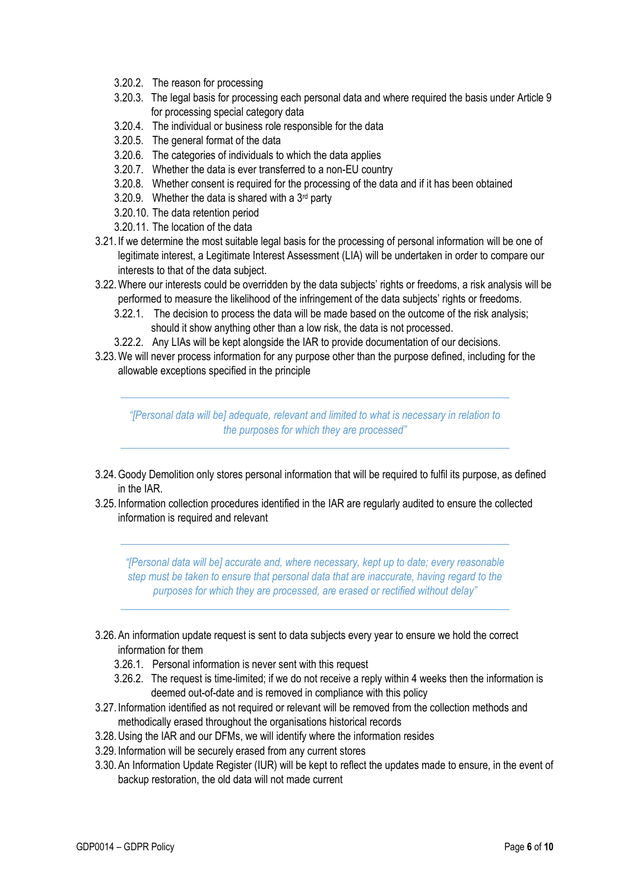- 3.20.2. The reason for processing
- 3.20.3. The legal basis for processing each personal data and where required the basis under Article 9 for processing special category data
- 3.20.4. The individual or business role responsible for the data
- 3.20.5. The general format of the data
- 3.20.6. The categories of individuals to which the data applies
- 3.20.7. Whether the data is ever transferred to a non-EU country
- 3.20.8. Whether consent is required for the processing of the data and if it has been obtained
- 3.20.9. Whether the data is shared with a  $3<sup>rd</sup>$  party
- 3.20.10. The data retention period
- 3.20.11. The location of the data
- 3.21. If we determine the most suitable legal basis for the processing of personal information will be one of legitimate interest, a Legitimate Interest Assessment (LIA) will be undertaken in order to compare our interests to that of the data subject.
- 3.22.Where our interests could be overridden by the data subjects' rights or freedoms, a risk analysis will be performed to measure the likelihood of the infringement of the data subjects' rights or freedoms.
	- 3.22.1. The decision to process the data will be made based on the outcome of the risk analysis; should it show anything other than a low risk, the data is not processed.
	- 3.22.2. Any LIAs will be kept alongside the IAR to provide documentation of our decisions.
- 3.23.We will never process information for any purpose other than the purpose defined, including for the allowable exceptions specified in the principle

*"[Personal data will be] adequate, relevant and limited to what is necessary in relation to the purposes for which they are processed"*

- 3.24.Goody Demolition only stores personal information that will be required to fulfil its purpose, as defined in the IAR.
- 3.25. Information collection procedures identified in the IAR are regularly audited to ensure the collected information is required and relevant

*"[Personal data will be] accurate and, where necessary, kept up to date; every reasonable step must be taken to ensure that personal data that are inaccurate, having regard to the purposes for which they are processed, are erased or rectified without delay"*

- 3.26.An information update request is sent to data subjects every year to ensure we hold the correct information for them
	- 3.26.1. Personal information is never sent with this request
	- 3.26.2. The request is time-limited; if we do not receive a reply within 4 weeks then the information is deemed out-of-date and is removed in compliance with this policy
- 3.27. Information identified as not required or relevant will be removed from the collection methods and methodically erased throughout the organisations historical records
- 3.28.Using the IAR and our DFMs, we will identify where the information resides
- 3.29. Information will be securely erased from any current stores
- 3.30.An Information Update Register (IUR) will be kept to reflect the updates made to ensure, in the event of backup restoration, the old data will not made current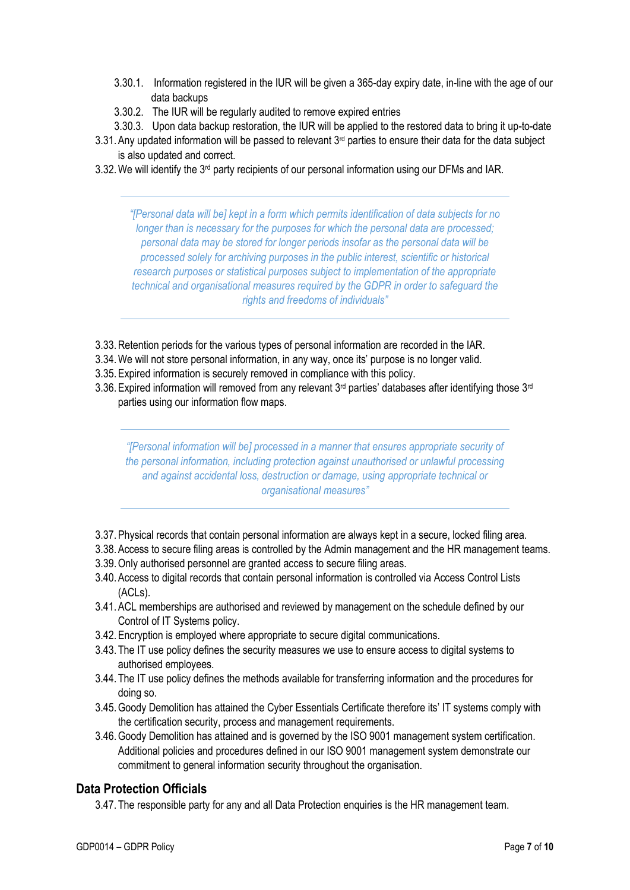- 3.30.1. Information registered in the IUR will be given a 365-day expiry date, in-line with the age of our data backups
- 3.30.2. The IUR will be regularly audited to remove expired entries
- 3.30.3. Upon data backup restoration, the IUR will be applied to the restored data to bring it up-to-date
- 3.31. Any updated information will be passed to relevant 3<sup>rd</sup> parties to ensure their data for the data subject is also updated and correct.
- 3.32. We will identify the 3<sup>rd</sup> party recipients of our personal information using our DFMs and IAR.

*"[Personal data will be] kept in a form which permits identification of data subjects for no longer than is necessary for the purposes for which the personal data are processed; personal data may be stored for longer periods insofar as the personal data will be processed solely for archiving purposes in the public interest, scientific or historical research purposes or statistical purposes subject to implementation of the appropriate technical and organisational measures required by the GDPR in order to safeguard the rights and freedoms of individuals"*

- 3.33.Retention periods for the various types of personal information are recorded in the IAR.
- 3.34.We will not store personal information, in any way, once its' purpose is no longer valid.
- 3.35.Expired information is securely removed in compliance with this policy.
- 3.36. Expired information will removed from any relevant  $3<sup>rd</sup>$  parties' databases after identifying those  $3<sup>rd</sup>$ parties using our information flow maps.

*"[Personal information will be] processed in a manner that ensures appropriate security of the personal information, including protection against unauthorised or unlawful processing and against accidental loss, destruction or damage, using appropriate technical or organisational measures"*

- 3.37.Physical records that contain personal information are always kept in a secure, locked filing area.
- 3.38.Access to secure filing areas is controlled by the Admin management and the HR management teams.
- 3.39.Only authorised personnel are granted access to secure filing areas.
- 3.40.Access to digital records that contain personal information is controlled via Access Control Lists (ACLs).
- 3.41.ACL memberships are authorised and reviewed by management on the schedule defined by our Control of IT Systems policy.
- 3.42.Encryption is employed where appropriate to secure digital communications.
- 3.43. The IT use policy defines the security measures we use to ensure access to digital systems to authorised employees.
- 3.44. The IT use policy defines the methods available for transferring information and the procedures for doing so.
- 3.45.Goody Demolition has attained the Cyber Essentials Certificate therefore its' IT systems comply with the certification security, process and management requirements.
- 3.46.Goody Demolition has attained and is governed by the ISO 9001 management system certification. Additional policies and procedures defined in our ISO 9001 management system demonstrate our commitment to general information security throughout the organisation.

#### <span id="page-6-0"></span>**Data Protection Officials**

3.47. The responsible party for any and all Data Protection enquiries is the HR management team.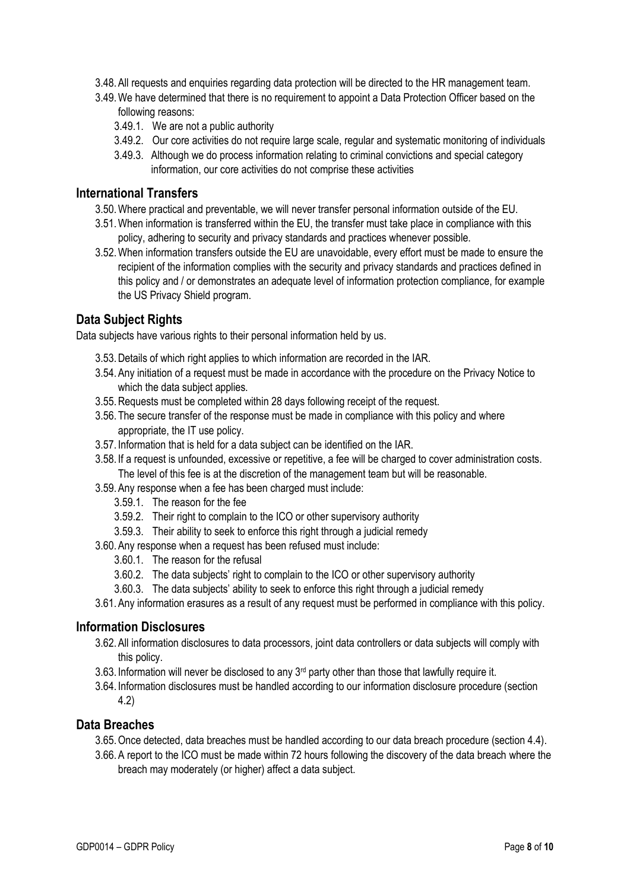- 3.48.All requests and enquiries regarding data protection will be directed to the HR management team.
- 3.49.We have determined that there is no requirement to appoint a Data Protection Officer based on the following reasons:
	- 3.49.1. We are not a public authority
	- 3.49.2. Our core activities do not require large scale, regular and systematic monitoring of individuals
	- 3.49.3. Although we do process information relating to criminal convictions and special category information, our core activities do not comprise these activities

#### <span id="page-7-0"></span>**International Transfers**

- 3.50.Where practical and preventable, we will never transfer personal information outside of the EU.
- 3.51.When information is transferred within the EU, the transfer must take place in compliance with this policy, adhering to security and privacy standards and practices whenever possible.
- 3.52.When information transfers outside the EU are unavoidable, every effort must be made to ensure the recipient of the information complies with the security and privacy standards and practices defined in this policy and / or demonstrates an adequate level of information protection compliance, for example the US Privacy Shield program.

## <span id="page-7-1"></span>**Data Subject Rights**

Data subjects have various rights to their personal information held by us.

- 3.53.Details of which right applies to which information are recorded in the IAR.
- 3.54.Any initiation of a request must be made in accordance with the procedure on the Privacy Notice to which the data subject applies.
- 3.55.Requests must be completed within 28 days following receipt of the request.
- 3.56. The secure transfer of the response must be made in compliance with this policy and where appropriate, the IT use policy.
- 3.57. Information that is held for a data subject can be identified on the IAR.
- 3.58. If a request is unfounded, excessive or repetitive, a fee will be charged to cover administration costs. The level of this fee is at the discretion of the management team but will be reasonable.
- 3.59.Any response when a fee has been charged must include:
	- 3.59.1. The reason for the fee
	- 3.59.2. Their right to complain to the ICO or other supervisory authority
	- 3.59.3. Their ability to seek to enforce this right through a judicial remedy
- 3.60.Any response when a request has been refused must include:
	- 3.60.1. The reason for the refusal
	- 3.60.2. The data subjects' right to complain to the ICO or other supervisory authority
	- 3.60.3. The data subjects' ability to seek to enforce this right through a judicial remedy
- 3.61.Any information erasures as a result of any request must be performed in compliance with this policy.

#### <span id="page-7-2"></span>**Information Disclosures**

- 3.62.All information disclosures to data processors, joint data controllers or data subjects will comply with this policy.
- 3.63. Information will never be disclosed to any 3<sup>rd</sup> party other than those that lawfully require it.
- 3.64. Information disclosures must be handled according to our information disclosure procedure (section 4.2)

#### <span id="page-7-3"></span>**Data Breaches**

- 3.65.Once detected, data breaches must be handled according to our data breach procedure (section 4.4).
- 3.66.A report to the ICO must be made within 72 hours following the discovery of the data breach where the breach may moderately (or higher) affect a data subject.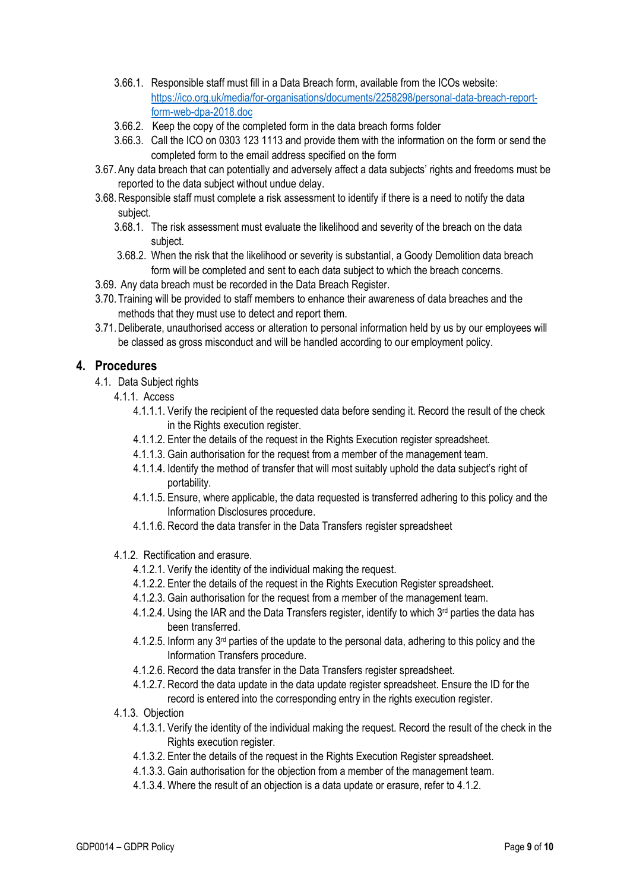- 3.66.1. Responsible staff must fill in a Data Breach form, available from the ICOs website: [https://ico.org.uk/media/for-organisations/documents/2258298/personal-data-breach-report](https://ico.org.uk/media/for-organisations/documents/2258298/personal-data-breach-report-form-web-dpa-2018.doc)[form-web-dpa-2018.doc](https://ico.org.uk/media/for-organisations/documents/2258298/personal-data-breach-report-form-web-dpa-2018.doc)
- 3.66.2. Keep the copy of the completed form in the data breach forms folder
- 3.66.3. Call the ICO on 0303 123 1113 and provide them with the information on the form or send the completed form to the email address specified on the form
- 3.67.Any data breach that can potentially and adversely affect a data subjects' rights and freedoms must be reported to the data subject without undue delay.
- 3.68.Responsible staff must complete a risk assessment to identify if there is a need to notify the data subject.
	- 3.68.1. The risk assessment must evaluate the likelihood and severity of the breach on the data subject.
	- 3.68.2. When the risk that the likelihood or severity is substantial, a Goody Demolition data breach form will be completed and sent to each data subject to which the breach concerns.
- 3.69. Any data breach must be recorded in the Data Breach Register.
- 3.70. Training will be provided to staff members to enhance their awareness of data breaches and the methods that they must use to detect and report them.
- 3.71.Deliberate, unauthorised access or alteration to personal information held by us by our employees will be classed as gross misconduct and will be handled according to our employment policy.

## <span id="page-8-0"></span>**4. Procedures**

- 4.1. Data Subject rights
	- 4.1.1. Access
		- 4.1.1.1. Verify the recipient of the requested data before sending it. Record the result of the check in the Rights execution register.
		- 4.1.1.2. Enter the details of the request in the Rights Execution register spreadsheet.
		- 4.1.1.3. Gain authorisation for the request from a member of the management team.
		- 4.1.1.4. Identify the method of transfer that will most suitably uphold the data subject's right of portability.
		- 4.1.1.5. Ensure, where applicable, the data requested is transferred adhering to this policy and the Information Disclosures procedure.
		- 4.1.1.6. Record the data transfer in the Data Transfers register spreadsheet
	- 4.1.2. Rectification and erasure.
		- 4.1.2.1. Verify the identity of the individual making the request.
		- 4.1.2.2. Enter the details of the request in the Rights Execution Register spreadsheet.
		- 4.1.2.3. Gain authorisation for the request from a member of the management team.
		- 4.1.2.4. Using the IAR and the Data Transfers register, identify to which 3<sup>rd</sup> parties the data has been transferred.
		- 4.1.2.5. Inform any 3<sup>rd</sup> parties of the update to the personal data, adhering to this policy and the Information Transfers procedure.
		- 4.1.2.6. Record the data transfer in the Data Transfers register spreadsheet.
		- 4.1.2.7. Record the data update in the data update register spreadsheet. Ensure the ID for the record is entered into the corresponding entry in the rights execution register.
	- 4.1.3. Objection
		- 4.1.3.1. Verify the identity of the individual making the request. Record the result of the check in the Rights execution register.
		- 4.1.3.2. Enter the details of the request in the Rights Execution Register spreadsheet.
		- 4.1.3.3. Gain authorisation for the objection from a member of the management team.
		- 4.1.3.4. Where the result of an objection is a data update or erasure, refer to 4.1.2.